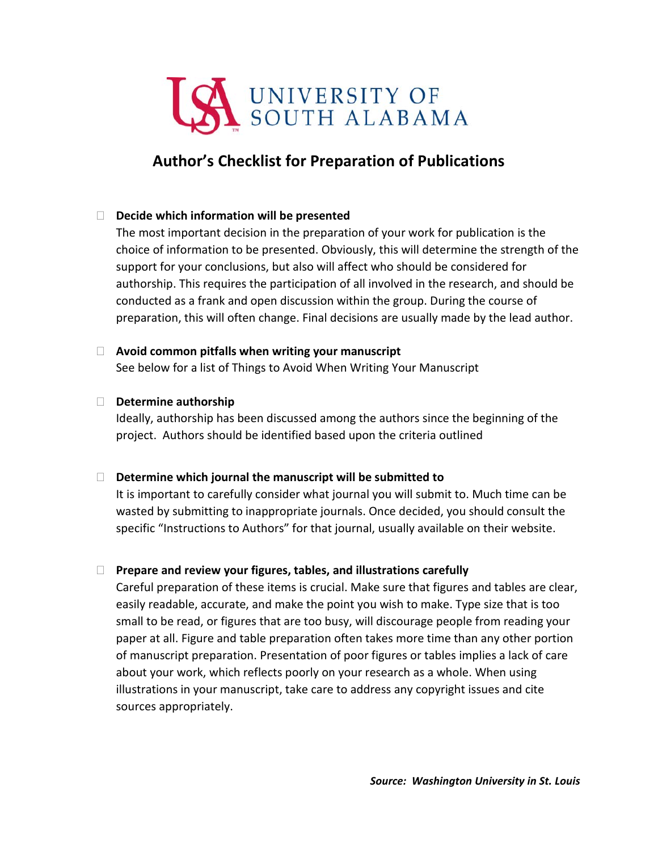

# **Author's Checklist for Preparation of Publications**

# **Decide which information will be presented**

The most important decision in the preparation of your work for publication is the choice of information to be presented. Obviously, this will determine the strength of the support for your conclusions, but also will affect who should be considered for authorship. This requires the participation of all involved in the research, and should be conducted as a frank and open discussion within the group. During the course of preparation, this will often change. Final decisions are usually made by the lead author.

# **Avoid common pitfalls when writing your manuscript**

See below for a list of Things to Avoid When Writing Your Manuscript

# **Determine authorship**

Ideally, authorship has been discussed among the authors since the beginning of the project. Authors should be identified based upon the criteria outlined

# **Determine which journal the manuscript will be submitted to**

It is important to carefully consider what journal you will submit to. Much time can be wasted by submitting to inappropriate journals. Once decided, you should consult the specific "Instructions to Authors" for that journal, usually available on their website.

# **Prepare and review your figures, tables, and illustrations carefully**

Careful preparation of these items is crucial. Make sure that figures and tables are clear, easily readable, accurate, and make the point you wish to make. Type size that is too small to be read, or figures that are too busy, will discourage people from reading your paper at all. Figure and table preparation often takes more time than any other portion of manuscript preparation. Presentation of poor figures or tables implies a lack of care about your work, which reflects poorly on your research as a whole. When using illustrations in your manuscript, take care to address any copyright issues and cite sources appropriately.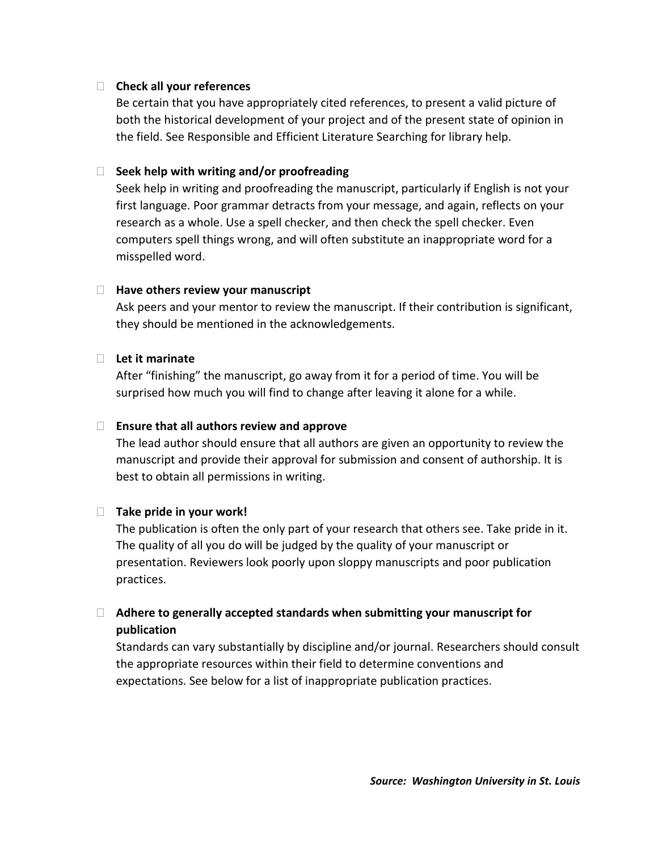## **Check all your references**

Be certain that you have appropriately cited references, to present a valid picture of both the historical development of your project and of the present state of opinion in the field. See Responsible and Efficient Literature Searching for library help.

## **Seek help with writing and/or proofreading**

Seek help in writing and proofreading the manuscript, particularly if English is not your first language. Poor grammar detracts from your message, and again, reflects on your research as a whole. Use a spell checker, and then check the spell checker. Even computers spell things wrong, and will often substitute an inappropriate word for a misspelled word.

## **Have others review your manuscript**

Ask peers and your mentor to review the manuscript. If their contribution is significant, they should be mentioned in the acknowledgements.

### **Let it marinate**

After "finishing" the manuscript, go away from it for a period of time. You will be surprised how much you will find to change after leaving it alone for a while.

### **Ensure that all authors review and approve**

The lead author should ensure that all authors are given an opportunity to review the manuscript and provide their approval for submission and consent of authorship. It is best to obtain all permissions in writing.

# **Take pride in your work!**

The publication is often the only part of your research that others see. Take pride in it. The quality of all you do will be judged by the quality of your manuscript or presentation. Reviewers look poorly upon sloppy manuscripts and poor publication practices.

# **Adhere to generally accepted standards when submitting your manuscript for publication**

Standards can vary substantially by discipline and/or journal. Researchers should consult the appropriate resources within their field to determine conventions and expectations. See below for a list of inappropriate publication practices.